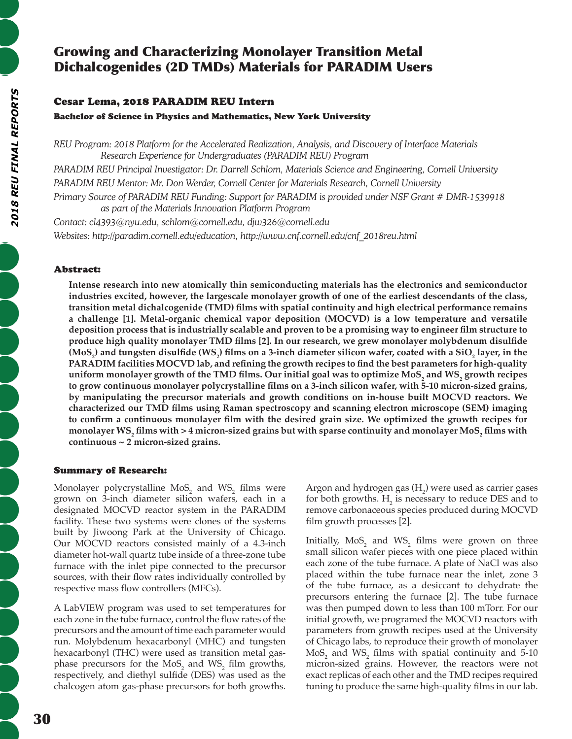# Growing and Characterizing Monolayer Transition Metal Dichalcogenides (2D TMDs) Materials for PARADIM Users

# Cesar Lema, 2018 PARADIM REU Intern

Bachelor of Science in Physics and Mathematics, New York University

*REU Program: 2018 Platform for the Accelerated Realization, Analysis, and Discovery of Interface Materials Research Experience for Undergraduates (PARADIM REU) Program PARADIM REU Principal Investigator: Dr. Darrell Schlom, Materials Science and Engineering, Cornell University PARADIM REU Mentor: Mr. Don Werder, Cornell Center for Materials Research, Cornell University*

*Primary Source of PARADIM REU Funding: Support for PARADIM is provided under NSF Grant # DMR-1539918 as part of the Materials Innovation Platform Program*

*Contact: cl4393@nyu.edu, schlom@cornell.edu, djw326@cornell.edu Websites: http://paradim.cornell.edu/education, http://www.cnf.cornell.edu/cnf\_2018reu.html*

## Abstract:

**Intense research into new atomically thin semiconducting materials has the electronics and semiconductor industries excited, however, the largescale monolayer growth of one of the earliest descendants of the class, transition metal dichalcogenide (TMD) films with spatial continuity and high electrical performance remains a challenge [1]. Metal-organic chemical vapor deposition (MOCVD) is a low temperature and versatile deposition process that is industrially scalable and proven to be a promising way to engineer film structure to produce high quality monolayer TMD films [2]. In our research, we grew monolayer molybdenum disulfide**  (MoS<sub>2</sub>) and tungsten disulfide (WS<sub>2</sub>) films on a 3-inch diameter silicon wafer, coated with a SiO<sub>2</sub> layer, in the **PARADIM facilities MOCVD lab, and refining the growth recipes to find the best parameters for high-quality**  uniform monolayer growth of the TMD films. Our initial goal was to optimize MoS<sub>2</sub> and WS<sub>2</sub> growth recipes **to grow continuous monolayer polycrystalline films on a 3-inch silicon wafer, with 5-10 micron-sized grains, by manipulating the precursor materials and growth conditions on in-house built MOCVD reactors. We characterized our TMD films using Raman spectroscopy and scanning electron microscope (SEM) imaging to confirm a continuous monolayer film with the desired grain size. We optimized the growth recipes for**  monolayer WS<sub>2</sub> films with > 4 micron-sized grains but with sparse continuity and monolayer MoS<sub>2</sub> films with **continuous ~ 2 micron-sized grains.**

## Summary of Research:

Monolayer polycrystalline  $\text{MoS}_2$  and  $\text{WS}_2$  films were grown on 3-inch diameter silicon wafers, each in a designated MOCVD reactor system in the PARADIM facility. These two systems were clones of the systems built by Jiwoong Park at the University of Chicago. Our MOCVD reactors consisted mainly of a 4.3-inch diameter hot-wall quartz tube inside of a three-zone tube furnace with the inlet pipe connected to the precursor sources, with their flow rates individually controlled by respective mass flow controllers (MFCs).

A LabVIEW program was used to set temperatures for each zone in the tube furnace, control the flow rates of the precursors and the amount of time each parameter would run. Molybdenum hexacarbonyl (MHC) and tungsten hexacarbonyl (THC) were used as transition metal gasphase precursors for the  $MoS_2$  and  $WS_2$  film growths, respectively, and diethyl sulfide (DES) was used as the chalcogen atom gas-phase precursors for both growths.

Argon and hydrogen gas  $(H_2)$  were used as carrier gases for both growths.  $H<sub>2</sub>$  is necessary to reduce DES and to remove carbonaceous species produced during MOCVD film growth processes [2].

Initially,  $MoS_2$  and  $WS_2$  films were grown on three small silicon wafer pieces with one piece placed within each zone of the tube furnace. A plate of NaCl was also placed within the tube furnace near the inlet, zone 3 of the tube furnace, as a desiccant to dehydrate the precursors entering the furnace [2]. The tube furnace was then pumped down to less than 100 mTorr. For our initial growth, we programed the MOCVD reactors with parameters from growth recipes used at the University of Chicago labs, to reproduce their growth of monolayer  $\text{MoS}_{2}$  and  $\text{WS}_{2}$  films with spatial continuity and 5-10 micron-sized grains. However, the reactors were not exact replicas of each other and the TMD recipes required tuning to produce the same high-quality films in our lab.